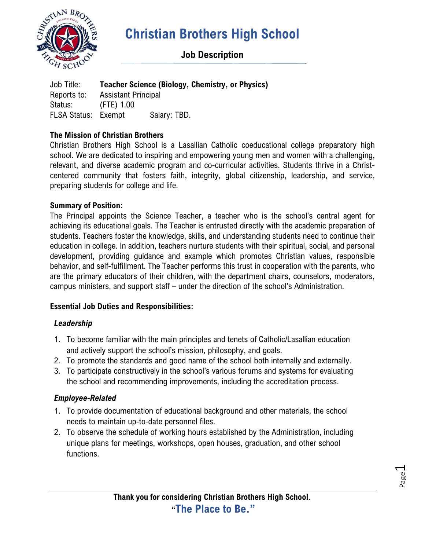

## **Job Description**

Job Title: **Teacher Science (Biology, Chemistry, or Physics)** Reports to: Assistant Principal Status: (FTE) 1.00 FLSA Status: Exempt Salary: TBD.

### **The Mission of Christian Brothers**

Christian Brothers High School is a Lasallian Catholic coeducational college preparatory high school. We are dedicated to inspiring and empowering young men and women with a challenging, relevant, and diverse academic program and co-curricular activities. Students thrive in a Christcentered community that fosters faith, integrity, global citizenship, leadership, and service, preparing students for college and life.

#### **Summary of Position:**

The Principal appoints the Science Teacher, a teacher who is the school's central agent for achieving its educational goals. The Teacher is entrusted directly with the academic preparation of students. Teachers foster the knowledge, skills, and understanding students need to continue their education in college. In addition, teachers nurture students with their spiritual, social, and personal development, providing guidance and example which promotes Christian values, responsible behavior, and self-fulfillment. The Teacher performs this trust in cooperation with the parents, who are the primary educators of their children, with the department chairs, counselors, moderators, campus ministers, and support staff – under the direction of the school's Administration.

#### **Essential Job Duties and Responsibilities:**

#### *Leadership*

- 1. To become familiar with the main principles and tenets of Catholic/Lasallian education and actively support the school's mission, philosophy, and goals.
- 2. To promote the standards and good name of the school both internally and externally.
- 3. To participate constructively in the school's various forums and systems for evaluating the school and recommending improvements, including the accreditation process.

#### *Employee-Related*

- 1. To provide documentation of educational background and other materials, the school needs to maintain up-to-date personnel files.
- 2. To observe the schedule of working hours established by the Administration, including unique plans for meetings, workshops, open houses, graduation, and other school functions.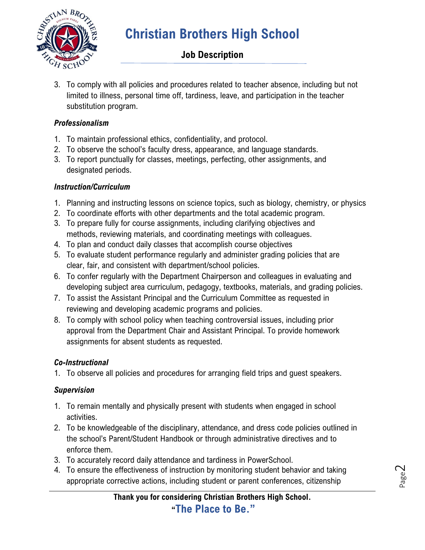

# **Job Description**

3. To comply with all policies and procedures related to teacher absence, including but not limited to illness, personal time off, tardiness, leave, and participation in the teacher substitution program.

### *Professionalism*

- 1. To maintain professional ethics, confidentiality, and protocol.
- 2. To observe the school's faculty dress, appearance, and language standards.
- 3. To report punctually for classes, meetings, perfecting, other assignments, and designated periods.

### *Instruction/Curriculum*

- 1. Planning and instructing lessons on science topics, such as biology, chemistry, or physics
- 2. To coordinate efforts with other departments and the total academic program.
- 3. To prepare fully for course assignments, including clarifying objectives and methods, reviewing materials, and coordinating meetings with colleagues.
- 4. To plan and conduct daily classes that accomplish course objectives
- 5. To evaluate student performance regularly and administer grading policies that are clear, fair, and consistent with department/school policies.
- 6. To confer regularly with the Department Chairperson and colleagues in evaluating and developing subject area curriculum, pedagogy, textbooks, materials, and grading policies.
- 7. To assist the Assistant Principal and the Curriculum Committee as requested in reviewing and developing academic programs and policies.
- 8. To comply with school policy when teaching controversial issues, including prior approval from the Department Chair and Assistant Principal. To provide homework assignments for absent students as requested.

## *Co-Instructional*

1. To observe all policies and procedures for arranging field trips and guest speakers.

## *Supervision*

- 1. To remain mentally and physically present with students when engaged in school activities.
- 2. To be knowledgeable of the disciplinary, attendance, and dress code policies outlined in the school's Parent/Student Handbook or through administrative directives and to enforce them.
- 3. To accurately record daily attendance and tardiness in PowerSchool.
- 4. To ensure the effectiveness of instruction by monitoring student behavior and taking appropriate corrective actions, including student or parent conferences, citizenship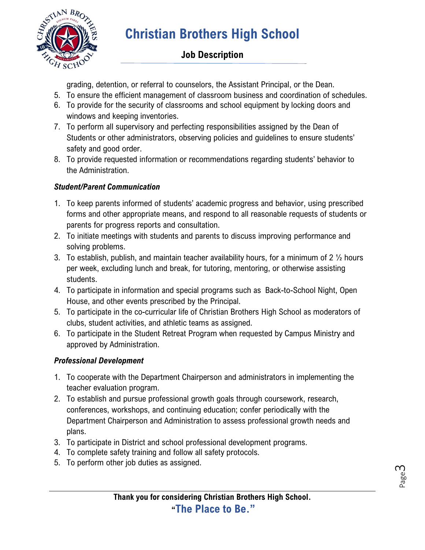

## **Job Description**

grading, detention, or referral to counselors, the Assistant Principal, or the Dean.

- 5. To ensure the efficient management of classroom business and coordination of schedules.
- 6. To provide for the security of classrooms and school equipment by locking doors and windows and keeping inventories.
- 7. To perform all supervisory and perfecting responsibilities assigned by the Dean of Students or other administrators, observing policies and guidelines to ensure students' safety and good order.
- 8. To provide requested information or recommendations regarding students' behavior to the Administration.

## *Student/Parent Communication*

- 1. To keep parents informed of students' academic progress and behavior, using prescribed forms and other appropriate means, and respond to all reasonable requests of students or parents for progress reports and consultation.
- 2. To initiate meetings with students and parents to discuss improving performance and solving problems.
- 3. To establish, publish, and maintain teacher availability hours, for a minimum of 2  $\frac{1}{2}$  hours per week, excluding lunch and break, for tutoring, mentoring, or otherwise assisting students.
- 4. To participate in information and special programs such as Back-to-School Night, Open House, and other events prescribed by the Principal.
- 5. To participate in the co-curricular life of Christian Brothers High School as moderators of clubs, student activities, and athletic teams as assigned.
- 6. To participate in the Student Retreat Program when requested by Campus Ministry and approved by Administration.

## *Professional Development*

- 1. To cooperate with the Department Chairperson and administrators in implementing the teacher evaluation program.
- 2. To establish and pursue professional growth goals through coursework, research, conferences, workshops, and continuing education; confer periodically with the Department Chairperson and Administration to assess professional growth needs and plans.
- 3. To participate in District and school professional development programs.
- 4. To complete safety training and follow all safety protocols.
- 5. To perform other job duties as assigned.